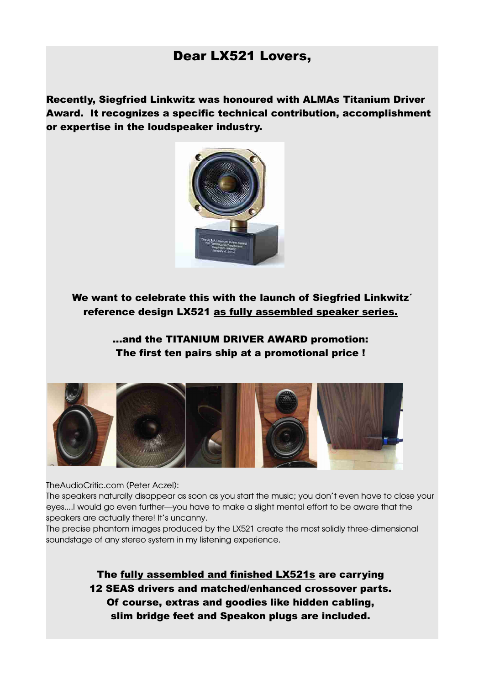## Dear LX521 Lovers,

Recently, Siegfried Linkwitz was honoured with ALMAs Titanium Driver Award. It recognizes a specific technical contribution, accomplishment or expertise in the loudspeaker industry.



We want to celebrate this with the launch of Siegfried Linkwitz<sup>'</sup> reference design LX521 as fully assembled speaker series.

> ...and the TITANIUM DRIVER AWARD promotion: The first ten pairs ship at a promotional price !



TheAudioCritic.com (Peter Aczel):

The speakers naturally disappear as soon as you start the music; you don't even have to close your eyes....I would go even further—you have to make a slight mental effort to be aware that the speakers are actually there! It's uncanny.

The precise phantom images produced by the LX521 create the most solidly three-dimensional soundstage of any stereo system in my listening experience.

> The fully assembled and finished LX521s are carrying 12 SEAS drivers and matched/enhanced crossover parts. Of course, extras and goodies like hidden cabling, slim bridge feet and Speakon plugs are included.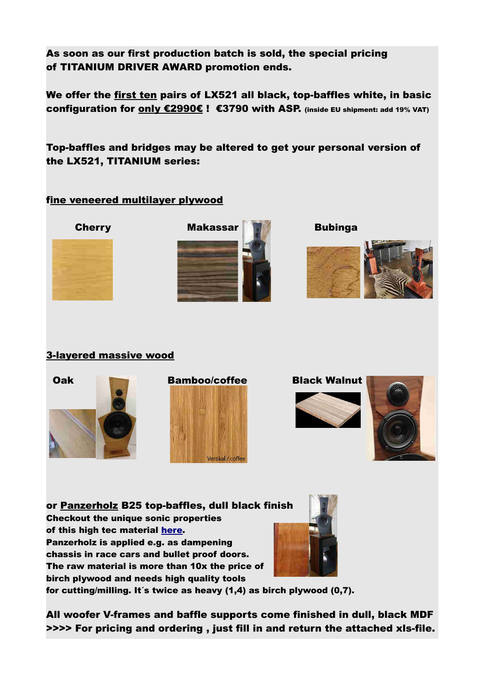As soon as our first production batch is sold, the special pricing of TITANIUM DRIVER AWARD promotion ends.

We offer the first ten pairs of LX521 all black, top-baffles white, in basic configuration for only €2990€ ! €3790 with ASP. (inside EU shipment: add 19% VAT)

Top-baffles and bridges may be altered to get your personal version of the LX521, TITANIUM series:

### fine veneered multilayer plywood







### 3-layered massive wood







or Panzerholz B25 top-baffles, dull black finish Checkout the unique sonic properties of this high tec material [here.](http://www.lessloss.com/page.html?id=80) Panzerholz is applied e.g. as dampening chassis in race cars and bullet proof doors. The raw material is more than 10x the price of birch plywood and needs high quality tools



for cutting/milling. It´s twice as heavy (1,4) as birch plywood (0,7).

All woofer V-frames and baffle supports come finished in dull, black MDF >>>> For pricing and ordering , just fill in and return the attached xls-file.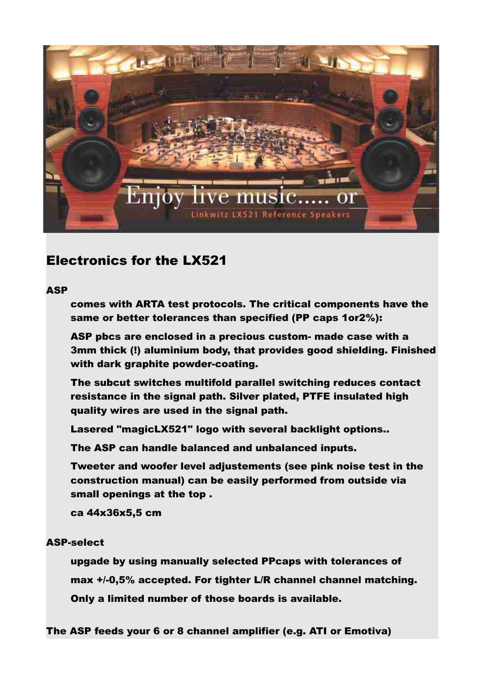

# Electronics for the LX521

### **ASP**

comes with ARTA test protocols. The critical components have the same or better tolerances than specified (PP caps 1or2%):

ASP pbcs are enclosed in a precious custom- made case with a 3mm thick (!) aluminium body, that provides good shielding. Finished with dark graphite powder-coating.

The subcut switches multifold parallel switching reduces contact resistance in the signal path. Silver plated, PTFE insulated high quality wires are used in the signal path.

Lasered "magicLX521" logo with several backlight options..

The ASP can handle balanced and unbalanced inputs.

Tweeter and woofer level adjustements (see pink noise test in the construction manual) can be easily performed from outside via small openings at the top .

ca 44x36x5,5 cm

#### ASP-select

upgade by using manually selected PPcaps with tolerances of max +/-0,5% accepted. For tighter L/R channel channel matching. Only a limited number of those boards is available.

The ASP feeds your 6 or 8 channel amplifier (e.g. ATI or Emotiva)